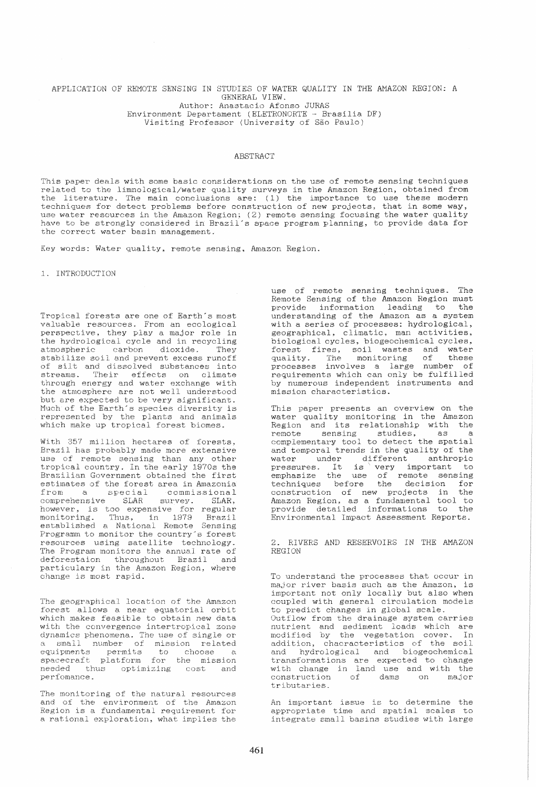## APPLICATION OF HEMOTE SENSING IN STUDIES OF WATER QUALITY IN THE AMAZON REGION: A GENERAL VIEW. Author: Anastacio Afonso JURAS Environment Departament (ELETRONORTE - Brasilia DF) Visiting Professor (University of São Paulo)

## ABSTRACT

This paper deals with some basic considerations on the use of remote sensing techniques related to the limnological/water quality surveys in the Amazon Region, obtained from the literature. The main conclusions are: (1) the importance to use these modern techniques for detect problems before construction of new projects, that in some way, use water resources in the Amazon Region; (2) remote sensing focusing the water quality have to be strongly considered in Brazil's space program planning, to provide data for the correct water basin management.

Key words: Water quality, remote sensing, Amazon Region.

1. INTRODUCTION

Tropical forests are one of Earth's most valuable resources. From an ecological perspective, they playa major role in the hydrological cycle and in recycling atmospheric carbon dioxide. They stabilize soil and prevent excess runoff of silt and dissolved substances into streams. Their effects on climate through energy and water exchange with the atmosphere are not well understood but are expected to be very significant. Much of the Earth's species diversity is represented by the plants and animals which make up tropical forest biomes.

With 357 million hectares of forests, Brazil has probably made more extensive use of remote sensing than any other tropical country. In the early 1970s the Brazilian Government obtained the first estimates of the forest area in Amazonia<br>from a special commissional special commissional<br>
SLAR survey. SLAR, comprehensive SLAR however, is too expensive for regular monitoring. Thus, in 1979 Brazil established a National Remote Sensing Programm to monitor the country"s forest resources using satellite technology\_ The Program monitors the annual rate of deforestaion throughout Brazil and particulary in the Amazon Region, where change is most rapid.

The geographical location of the Amazon forest allows a near equatorial orbit which makes feasible to obtain new data with the convergence intertropical zone dynamics phenomena. The use of single or small number of mission related equipments permits to choose a spacecraft platform for the mission needed thus optimizing cost and pe rfomanc:e .

The monitoring of the natural resources and of the environment of the Amazon Region is a fundamental requirement for a rational exploration, what implies the

use of remote sensing techniques. The Remote Sensing of the Amazon Region must<br>provide information leading to the provide information leading to understanding of the Amazon as a system with a series of processes: hydrological. geographical, climatic, man activities, biological cycles. biogeochemical cycles, forest fires, soil wastes and water quality. The monitoring of these processes involves a large number of requirements which can only be fulfilled by numerous independent instruments and mission characteristics.

This paper presents an overview on the water quality monitoring in the Amazon Region and its relationship with the remote sensing studies, as a complementary tool to detect the spatial and temporal trends in the quality of the water under different anthropic water under ufficient anthropic<br>pressures. It is very important to emphasize the use of remote sensing techniques before the decision for construction of new projects in the Amazon Region. as a fundamental tool to provide detailed informations Environmental Impact Assessment Reports.

2. RIVERS AND RESERVOIRS IN THE AMAZON REGION

To understand the processes that occur in maJor river baais such as the Amazon, is important not only locally but also when coupled with general circulation models to predict changes in global scale. Outflow from the drainage system carries nutrient and sediment loade which are modified by the vegetation cover. In addition, chacracteristics of the soil and hydrological and biogeochemical transformations are expected to change with change in land use and with the construction of dams on major construction<br>tributaries.

An important issue is to determine the appropriate time and spatial scales to integrate small basins studies with large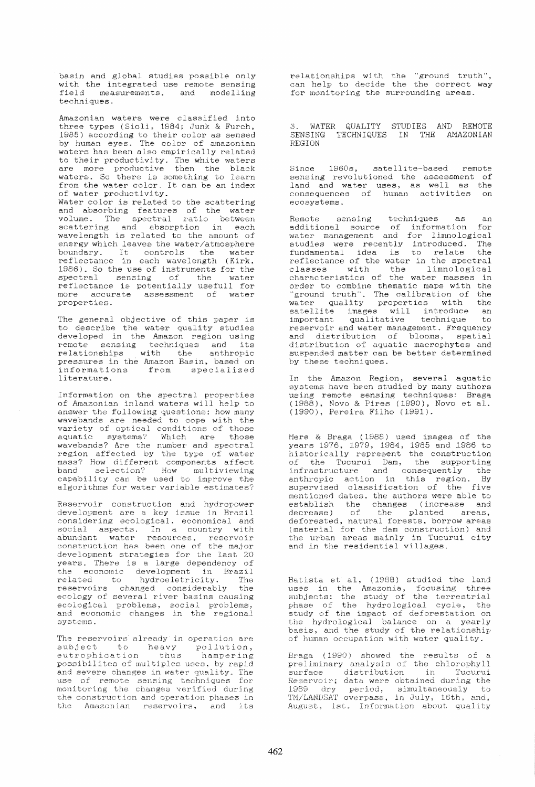basin and global studies possible only with the integrated use remote sensing field measurements, and modelling techniques.

Amazonian waters were classified into three types (Sioli, 1984; Junk & Furch, 1985) according to their color as sensed by human eyes. The color of amazonian waters has been also empirically related to their productivity. The white waters are more productive then the black waters. So there is something to learn from the water color. It can be an index of water productivity. Water color is related to the scattering and absorbing features of the water volume. The spectral ratio between scattering and absorption in each<br>wavelength is related to the amount of energy which leaves the water/atmosphere boundary. It controls the water reflectance in each wavelength (Kirk, 1986). So the use of instruments for the spectral sensing of the water reflectance is potentially usefull for more accurate assessment of water properties.

The general objective of this paper is to describe the water quality studies developed in the Amazon region using remote sensing techniques and its relationships with the anthropic pressures in the Amazon Basin, based on informations from specialized literature.

Information on the spectral properties of Amazonian inland waters will help to answer the following questions: how many wavebands are needed to cope with the variety of optical conditions of those aquatic systems? Which are those wavebands? Are the number and spectral region affected by the type of water mass? How different components affect band selection? How multiviewing capability can be used to improve the algorithms for water variable estimates?

Reservoir construction and hydropower development are a key issue 1n Brazil considering ecological, economical and social aspects. In a country with abundant water resources, reservoir construction has been one of the major development strategies for the last 20 years. There is a large dependency of the economic development in Brazil related to hydroeletricity. The related to hydroeletricity. The<br>reservoirs changed considerably the ecology of several river basins causing ecological problems, social problems. and economic changes in the regional aYE1t,emB.

The reservoirs already in operation are Ine reservoirs affeady in operation are<br>subject to heavy pollution, eutrophication thus hampering eutrophication thus hampering<br>possibilites of multiples uses, by rapid and severe changes in water quality. The use of remote sensing techniques for monitoring the changes verified during the construction and operation phases in the Amazonian reservoirs. and its

relationships with the "ground truth", can help to decide the the correct way for monitoring the surrounding areas.

3. WATER QUALITY STUDIES AND REMOTE SENSING TECHNIQUES IN THE AMAZONIAN .REGION

Since 1960s, satellite-based remote sensing revolutioned the assessment of land and water uses, as well as the consequences of human activities on ecosystems.

Remote sensing techniques as an additional source of information for water management and for limnological studies were recently introduced. The fundamental idea is to relate the reflectance of the water in the spectral classes with the limnological characteristics of the water masses in order to combine thematic maps with the "ground truth". The calibration of the water quality properties with the watch quarray proporties with the<br>satellite images will introduce an important qualitative technique to important qualitative technique to<br>reservoir and water management. Frequency and distribution of blooms, spatial distribution of aquatic macrophytes and suspended matter can be better determined by these techniques.

In the Amazon Region, several aquatic systems have been studied by many authors using remote sensing techniques: Braga (1988), Novo & Pires (1990), Novo et al. (1990). Pereira Filho (1991).

Mere & Braga (1988) used images of the years 1976, 1979, 1984, 1985 and 1986 to historically represent the construction of the Tucurui Dam, the supporting infrastructure and consequently the anthropic action in this region. By supervised classification of the five mentioned dates, the authors were able to establish the changes (increase and decrease) of the planted areas, deforested, natural forests, borrow areas (material for the dam construction) and the urban areas mainly in Tucurui city and in the residential villages.

Batista et al, (1988) studied the land uses in the Amazonia, focusing three subjects: the study of the terrestrial phase of the hydrological cycle, the study of the impact of deforestation on the hydrological balance on a yearly basis, and the study of the relationship of human occupation with water quality.

Braga (1990) showed the results of a preliminary analysis of the chlorophyll surface distribution in Tucurui Reservoir; data were obtained during the 1989 dry period, simultaneously to TM/LANDSAT overpass, in July, 16th, and, August, 1st. Information about quality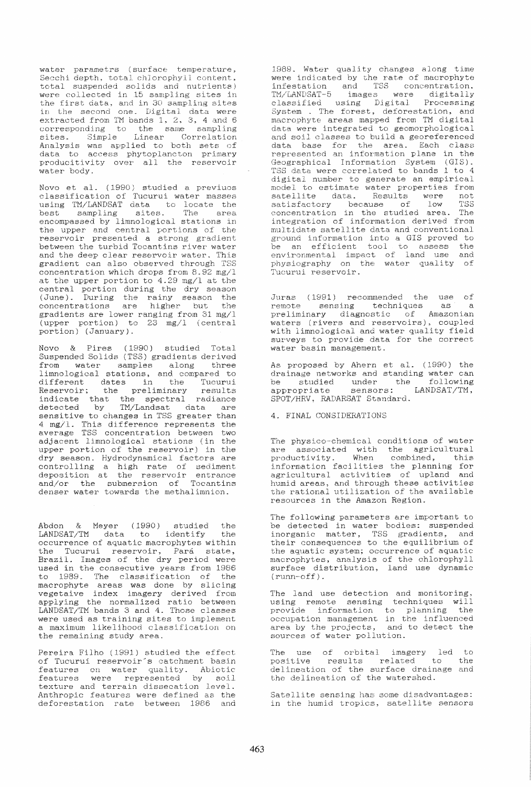${\tt water\ partments}$  (surface temperature, Secchi depth, total chlorophyll content, total suspended solids and nutrients) were aollected in 15 sampling sites in note correspond in to bumping sites in in the second one. Digital data were extracted from TM bands 1. 2. 3, 4 and 6 corresponding to the same sampling sites. Simple Linear Correlation Analysis was applied to both sets of data to access phytoplaneton primary producitivity over all the reservoir water body.

Novo et al. (1990) studied a previuos classification of Tueurui water masses using TM/LANDSAT data to locate the<br>best sampling sites. The area encompassed by limnological stations in the upper and central portions of the reservoir presented a strong gradient between the turbid Tocantins river water and the deep clear reservoir water. This gradient can also observed through TSS concentration which drops from 8.92 mg/l at the upper portion to 4.29 *mg/l* at the central portion during the dry season (June). During the rainy season the concentrations are higher but the gvadients are lower ranging from 31 mg/l (upper portion) to 23 mg/l (central portion) (January).

Novo & Pires (1990) studied Total Suspended Solids (TSS) gradients derived from water samples along three limnological stations, and compared to different dates in the Tucurui Reservoir; the preliminary results indicate that the spectral radiance detected by TM/Landsat data are sensitive to changes in TSS greater than 4 mg/l. This difference represents the average TSS concentration between two adjacent linmological stations (in the upper portion of the reservoir) in the dry season. Hydrodynamical factors are controlling a high rate of sediment deposition at the reservoir entrance and/or the submersion of Tocantins denser water towards the methalimnion.

Abdon & Meyer (1990) studied the LANDSAT/TM data to identify the occurrence of aquatic macrophytes within the Tucurui reservoir, Pará state, Brazil. Images of the dry period were used in the consecutive years from 1986 to 1989. The classification of the macrophyte areas was done by slicing vegetaive index imagery derived from applying the normalized ratio between LANDSAT/TM bands 3 and 4. Those classes were used as training sites to implement a maximum likelihood classification on the remaining study area.

Pereira Filho (1991) studied the effect of Tucurui reservoir's catchment basin features on water quality. Abiotic features were represented by soil texture and terrain dissecation level. Anthropic features were defined as the deforestation rate between 1986 and

1989. Water quality changes along time were indicated by the rate of macrophyte infestation and TSS concentration. TM/LANDSAT-5 images were digitally classified using Digital Processing System . The forest, deforestation, and macrophyte areas mapped from TM digital data were integrated to geomorphological and soil classes to build a georeferenced data base for the area. Each class represented an information plane in the Geographical Information System (GIS). TSS data were correlated to bands 1 to 4 digital number to generate an empirical model to estimate water properties from<br>satellite data. Results were not satellite data. Results were not satisfactory because of low TSS concentration in the studied area. The integration of information derived from multidate satellite data and conventional ground information into a GIS proved to be an efficient tool to assess the envirornnental impact of land use and physiography on the water quality of Tueurui reservoir.

Juras (1991) recommended the use of<br>remote sensing techniques as a remotions techniques preliminary diagnostic of Amazonian waters (rivers and reservoirs). coupled with limnological and water quality field surveys to provide data for the correct water basin management.

As proposed by Ahern et al. (1990) the drainage networks and standing water can be studied under the following appropriate sensors: LANDSAT/TM. SPOT/HRV, RADARSAT Standard.

## 4. FINAL CONSIDERATIONS

The physico-chemical conditions of water are associated with the agricultural productivity. When combined, this information facilities the planning for agricultural activities of upland and humid areas, and through these activities the rational utilization of the available resources in the Amazon Region.

The following parameters are important to be detected in water bodies: suspended inorganic matter. TSS gradients, and their consequences to the equilibrium of the aquatic system; occurrence of aquatic macrophytes, analysis of the chlorophyll surface distribution, land use dynamic  $(runn-off)$ .

The land use detection and monitoring, using remote sensing techniques will provide information to planning the occupation management in the influenced area by the projects, and to detect the sources of water pollution.

The use of orbital imagery led to positive results related to the delineation of the surface drainage and the delineation of the watershed.

Satellite sensing has some disadvantages: in the humid tropics, satellite sensors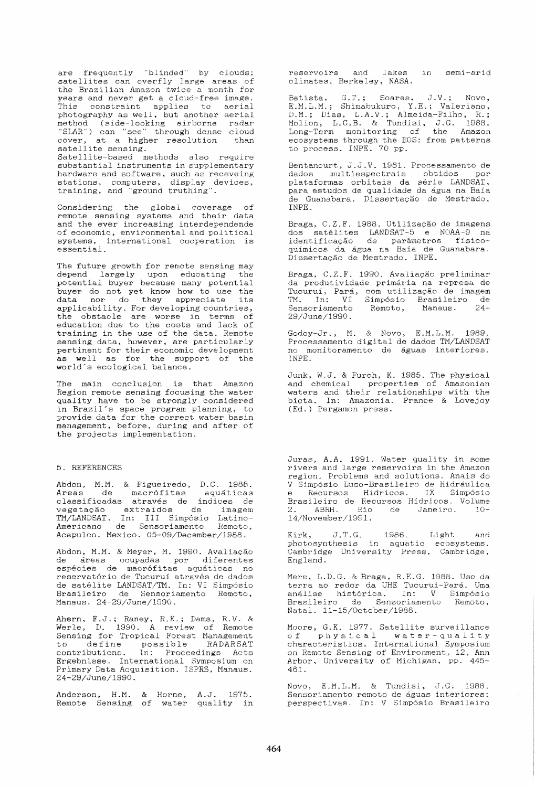are frequently "blinded" by clouds;<br>satellites can overfly large areas of the Brazilian Amazon twice a month for years and never get a cloud-free image. This constraint applies to aerial photography as well, but another aerial method (side-looking airborne radar<br>"SLAR") can "see" through dense cloud<br>cover, at a higher resolution than satellite sensing. Satellite-based methods also require substantial instruments in supplementary bardware and software, such as receveing<br>stations, computers, display devices,<br>training, and "ground truthing".

Considering the global coverage of remote sensing systems and their data and the ever increasing interdependende of economic, environmental and political systems, international cooperation is essential.

The future growth for remote sensing may depend largely upon educating the<br>potential buyer because many potential buyer do not yet know how to use the data nor do they appreciate its applicability. For developing countries, the obstacle are worse in terms of<br>education due to the costs and lack of training in the use of the data. Remote sensing data, however, are particularly<br>pertinent for their economic development as well as for the support of the world's ecological balance.

The main conclusion is that Amazon Region remote sensing focusing the water quality have to be strongly considered in Brazil's space program planning, to provide data for the correct water basin management, before, during and after of the projects implementation.

## 5. REFERENCES

Abdon, M.M. & Figueiredo, D.C. 1988. Areas de macrófitas aquáticas<br>classificadas através de índices de vegetação extraídos de imagem<br>TM/LANDSAT. In: III Simpósio Latino-Americano de Sensoriamento Remoto, Acapulco. Mexico. 05-09/December/1988.

Abdon, M.M. & Meyer, M. 1990. Avaliação de áreas ocupadas por diferentes espécies de macrófitas aquáticas no reservatório de Tucuruí através de dados de satélite LANDSAT/TM. In: VI Simpósio Brasileiro de Sensoriamento Remoto, Manaus. 24-29/June/1990.

Ahern, F.J.; Raney, R.K.; Dams, R.V. &<br>Werle, D. 1990. A review of Remote Sensing for Tropical Forest Management to define possible RADARSAT<br>contributions. In: Proceedings Acts Ergebnisse. International Symposium on Primary Data Acquisition. ISPRS, Manaus. 24-29/June/1990.

Anderson, H.M. & Horne, A.J. 1975.<br>Remote Sensing of water quality in

reservoirs and lakes in semi-arid climates. Berkeley, NASA.

Batista, G.T.; Soares, J.V.; Novo,<br>E.M.L.M.; Shimabukuro, Y.E.; Valeriano, D.M.; Dias, L.A.V.; Almeida-Filho, R.;<br>Molion, L.C.B. & Tundisi, J.G. 1988.<br>Long-Term monitoring of the Amazon<br>ecosystems through the EOS: from patterns to process. INPE. 70 pp.

Bentancurt, J.J.V. 1981. Processamento de dados multiespectrais obtidos por<br>plataformas orbitais da série LANDSAT, .<br>para estudos de qualidade da água na Baía de Guanabara. Dissertação de Mestrado. TNPE.

Braga, C.Z.F. 1988. Utilização de imagens dos satélites LANDSAT-5 e NOAA-9 na identificação de parâmetros físicoquímicos da água na Baía de Guanabara. Dissertação de Mestrado. INPE.

Braga, C.Z.F. 1990. Avaliação preliminar da produtividade primária na represa de Tuouruí, Pará, com utilização de imagem<br>TM. In: VI Simpósio Brasileiro de  $24-$ Sensoriamento Remoto, Manaus. 29/June/1990.

Godoy-Jr., M. & Novo, E.M.L.M. 1989. Processamento digital de dados TM/LANDSAT<br>no monitoramento de águas interiores. INPE.

Junk, W.J. & Furch, K. 1985. The physical and chemical properties of Amazonian waters and their relationships with the biota. In: Amazonia. Prance & Lovejoy (Ed.) Pergamon press.

Juras, A.A. 1991. Water quality in some rivers and large reservoirs in the Amazon region. Problems and solutions. Anais do V Simpósio Luso-Brasileiro de Hidráulica e Recursos Hidricos. IX Simpósio<br>Brasileiro de Recursos Hídricos. Una Simpósio<br>2. ABRH. Rio de Janeiro. 10-14/November/1991.

Kirk, J.T.G. 1986. Light and<br>photosynthesis in aquatic ecosystems. and Cambridge University Press, Cambridge, England.

Mere, L.D.G. & Braga, R.E.G. 1988. Uso da<br>terra ao redor da UHE Tucurui-Pará. Uma<br>análise histórica. In: V Simpósio Brasileiro de Sensoriamento Remoto. Natal. 11-15/October/1988.

Moore, G.K. 1977. Satellite surveillance of physical water-quality characteristics. International Symposium on Remote Sensing of Environment, 12, Ann Arbor, University of Michigan, pp. 445-461.

Novo, E.M.L.M. & Tundisi, J.G. 1988.<br>Sensoriamento remoto de águas interiores: perspectivas. In: V Simpósio Brasileiro